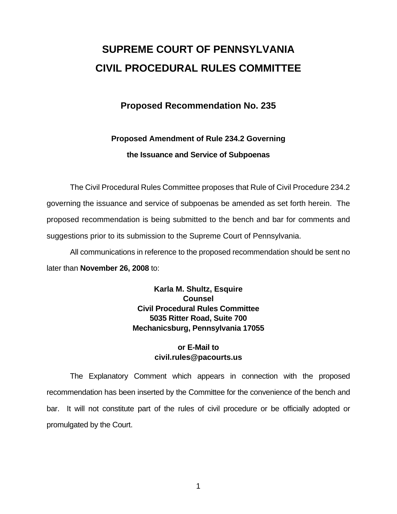# **SUPREME COURT OF PENNSYLVANIA CIVIL PROCEDURAL RULES COMMITTEE**

## **Proposed Recommendation No. 235**

# **Proposed Amendment of Rule 234.2 Governing the Issuance and Service of Subpoenas**

 The Civil Procedural Rules Committee proposes that Rule of Civil Procedure 234.2 governing the issuance and service of subpoenas be amended as set forth herein. The proposed recommendation is being submitted to the bench and bar for comments and suggestions prior to its submission to the Supreme Court of Pennsylvania.

 All communications in reference to the proposed recommendation should be sent no later than **November 26, 2008** to:

> **Karla M. Shultz, Esquire Counsel Civil Procedural Rules Committee 5035 Ritter Road, Suite 700 Mechanicsburg, Pennsylvania 17055**

### **or E-Mail to civil.rules@pacourts.us**

 The Explanatory Comment which appears in connection with the proposed recommendation has been inserted by the Committee for the convenience of the bench and bar. It will not constitute part of the rules of civil procedure or be officially adopted or promulgated by the Court.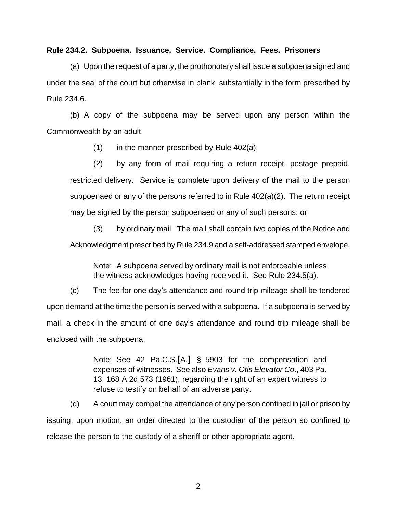#### **Rule 234.2. Subpoena. Issuance. Service. Compliance. Fees. Prisoners**

 (a) Upon the request of a party, the prothonotary shall issue a subpoena signed and under the seal of the court but otherwise in blank, substantially in the form prescribed by Rule 234.6.

 (b) A copy of the subpoena may be served upon any person within the Commonwealth by an adult.

 $(1)$  in the manner prescribed by Rule 402(a);

 (2) by any form of mail requiring a return receipt, postage prepaid, restricted delivery. Service is complete upon delivery of the mail to the person subpoenaed or any of the persons referred to in Rule 402(a)(2). The return receipt may be signed by the person subpoenaed or any of such persons; or

 (3) by ordinary mail. The mail shall contain two copies of the Notice and Acknowledgment prescribed by Rule 234.9 and a self-addressed stamped envelope.

Note: A subpoena served by ordinary mail is not enforceable unless the witness acknowledges having received it. See Rule 234.5(a).

 (c) The fee for one day's attendance and round trip mileage shall be tendered upon demand at the time the person is served with a subpoena. If a subpoena is served by mail, a check in the amount of one day's attendance and round trip mileage shall be enclosed with the subpoena.

> Note: See 42 Pa.C.S.**[**A.**]** § 5903 for the compensation and expenses of witnesses. See also *Evans v. Otis Elevator Co*., 403 Pa. 13, 168 A.2d 573 (1961), regarding the right of an expert witness to refuse to testify on behalf of an adverse party.

 (d) A court may compel the attendance of any person confined in jail or prison by issuing, upon motion, an order directed to the custodian of the person so confined to release the person to the custody of a sheriff or other appropriate agent.

2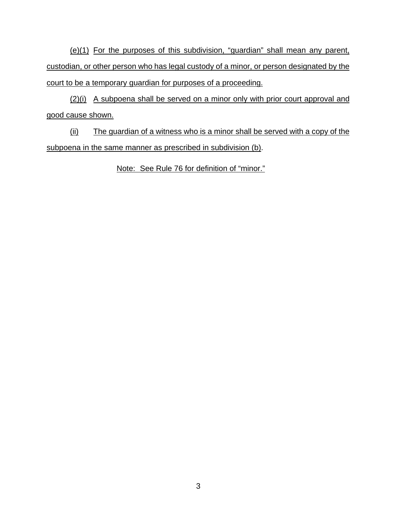(e)(1) For the purposes of this subdivision, "guardian" shall mean any parent, custodian, or other person who has legal custody of a minor, or person designated by the court to be a temporary guardian for purposes of a proceeding.

(2)(i) A subpoena shall be served on a minor only with prior court approval and good cause shown.

(ii) The guardian of a witness who is a minor shall be served with a copy of the subpoena in the same manner as prescribed in subdivision (b).

Note: See Rule 76 for definition of "minor."